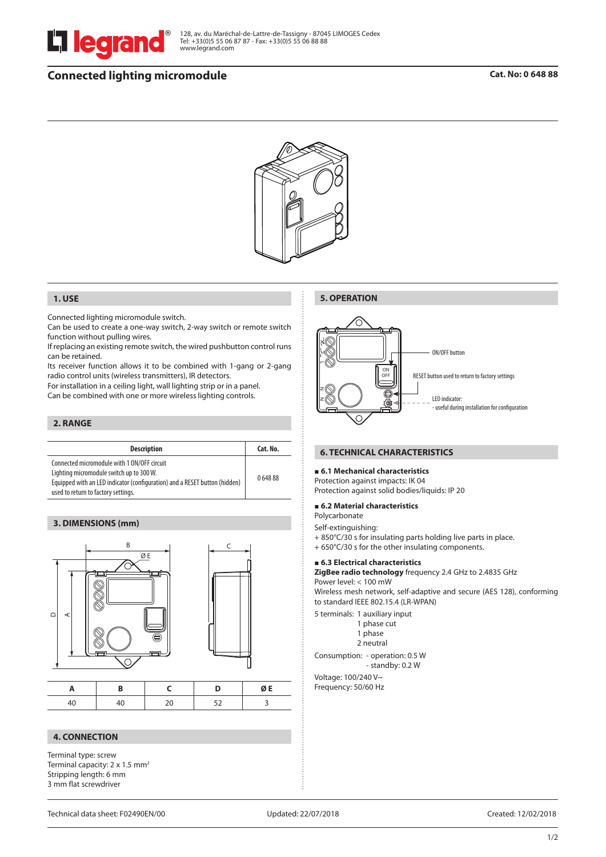

128, av. du Maréchal-de-Lattre-de-Tassigny - 87045 LIMOGES Cedex Tel: +33(0)5 55 06 87 87 - Fax: +33(0)5 55 06 88 88 www.legrand.com

# **Connected lighting micromodule**



### **1. USE**

Connected lighting micromodule switch.

Can be used to create a one-way switch, 2-way switch or remote switch function without pulling wires.

If replacing an existing remote switch, the wired pushbutton control runs can be retained.

Its receiver function allows it to be combined with 1-gang or 2-gang radio control units (wireless transmitters), IR detectors.

For installation in a ceiling light, wall lighting strip or in a panel.

Can be combined with one or more wireless lighting controls.

# **2. RANGE**

| <b>Description</b>                                                                                                                                                                                           | Cat. No. |
|--------------------------------------------------------------------------------------------------------------------------------------------------------------------------------------------------------------|----------|
| Connected micromodule with 1 ON/OFF circuit<br>Lighting micromodule switch up to 300 W.<br>Equipped with an LED indicator (configuration) and a RESET button (hidden)<br>used to return to factory settings. | 064888   |

### **3. DIMENSIONS (mm)**



|  |  |  | $\Lambda$ E |
|--|--|--|-------------|
|  |  |  |             |

### **4. CONNECTION**

Terminal type: screw Terminal capacity: 2 x 1.5 mm<sup>2</sup> Stripping length: 6 mm 3 mm flat screwdriver



# **6. TECHNICAL CHARACTERISTICS**

#### **6.1 Mechanical characteristics**

Protection against impacts: IK 04 Protection against solid bodies/liquids: IP 20

### **6.2 Material characteristics**

Polycarbonate

**5. OPERATION**

Self-extinguishing:

- + 850°C/30 s for insulating parts holding live parts in place.
- + 650°C/30 s for the other insulating components.

# **6.3 Electrical characteristics**

**ZigBee radio technology** frequency 2.4 GHz to 2.4835 GHz Power level: < 100 mW

Wireless mesh network, self-adaptive and secure (AES 128), conforming to standard IEEE 802.15.4 (LR-WPAN)

5 terminals: 1 auxiliary input

- 1 phase cut
- 1 phase
- 2 neutral

Consumption: - operation: 0.5 W - standby: 0.2 W

Voltage: 100/240 V~ Frequency: 50/60 Hz